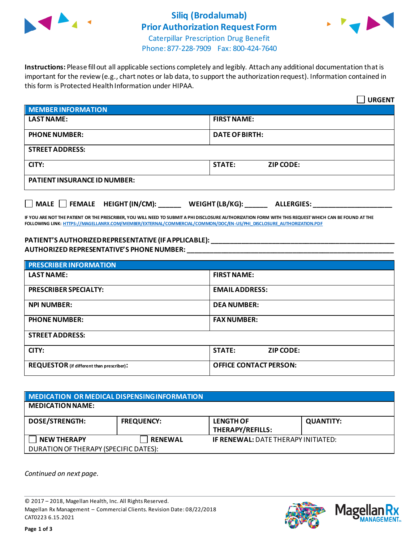

## **Siliq (Brodalumab) Prior Authorization Request Form**



Caterpillar Prescription Drug Benefit Phone: 877-228-7909 Fax: 800-424-7640

**Instructions:** Please fill out all applicable sections completely and legibly. Attach any additional documentation that is important for the review (e.g., chart notes or lab data, to support the authorization request). Information contained in this form is Protected Health Information under HIPAA.

|                                     | <b>URGENT</b>                        |
|-------------------------------------|--------------------------------------|
| <b>MEMBER INFORMATION</b>           |                                      |
| <b>LAST NAME:</b>                   | <b>FIRST NAME:</b>                   |
| <b>PHONE NUMBER:</b>                | <b>DATE OF BIRTH:</b>                |
| <b>STREET ADDRESS:</b>              |                                      |
| CITY:                               | <b>STATE:</b><br><b>ZIP CODE:</b>    |
| <b>PATIENT INSURANCE ID NUMBER:</b> |                                      |
| MALE FEMALE HEIGHT (IN/CM):         | WEIGHT (LB/KG):<br><b>ALLERGIES:</b> |

**IF YOU ARE NOT THE PATIENT OR THE PRESCRIBER, YOU WILL NEED TO SUBMIT A PHI DISCLOSURE AUTHORIZATION FORM WITH THIS REQUEST WHICH CAN BE FOUND AT THE FOLLOWING LINK[: HTTPS://MAGELLANRX.COM/MEMBER/EXTERNAL/COMMERCIAL/COMMON/DOC/EN-US/PHI\\_DISCLOSURE\\_AUTHORIZATION.PDF](https://magellanrx.com/member/external/commercial/common/doc/en-us/PHI_Disclosure_Authorization.pdf)**

#### **PATIENT'S AUTHORIZED REPRESENTATIVE (IF APPLICABLE): \_\_\_\_\_\_\_\_\_\_\_\_\_\_\_\_\_\_\_\_\_\_\_\_\_\_\_\_\_\_\_\_\_\_\_\_\_\_\_\_\_\_\_\_\_\_\_\_\_ AUTHORIZED REPRESENTATIVE'S PHONE NUMBER: \_\_\_\_\_\_\_\_\_\_\_\_\_\_\_\_\_\_\_\_\_\_\_\_\_\_\_\_\_\_\_\_\_\_\_\_\_\_\_\_\_\_\_\_\_\_\_\_\_\_\_\_\_\_\_**

| <b>PRESCRIBER INFORMATION</b>             |                               |  |
|-------------------------------------------|-------------------------------|--|
| <b>LAST NAME:</b>                         | <b>FIRST NAME:</b>            |  |
| <b>PRESCRIBER SPECIALTY:</b>              | <b>EMAIL ADDRESS:</b>         |  |
| <b>NPI NUMBER:</b>                        | <b>DEA NUMBER:</b>            |  |
| <b>PHONE NUMBER:</b>                      | <b>FAX NUMBER:</b>            |  |
| <b>STREET ADDRESS:</b>                    |                               |  |
| CITY:                                     | <b>STATE:</b><br>ZIP CODE:    |  |
| REQUESTOR (if different than prescriber): | <b>OFFICE CONTACT PERSON:</b> |  |

| <b>MEDICATION OR MEDICAL DISPENSING INFORMATION</b> |                   |                                            |                  |  |
|-----------------------------------------------------|-------------------|--------------------------------------------|------------------|--|
| <b>MEDICATION NAME:</b>                             |                   |                                            |                  |  |
| <b>DOSE/STRENGTH:</b>                               | <b>FREQUENCY:</b> | <b>LENGTH OF</b><br>THERAPY/REFILLS:       | <b>QUANTITY:</b> |  |
| <b>NEW THERAPY</b>                                  | <b>RENEWAL</b>    | <b>IF RENEWAL: DATE THERAPY INITIATED:</b> |                  |  |
| DURATION OF THERAPY (SPECIFIC DATES):               |                   |                                            |                  |  |

*Continued on next page.*

© 2017 – 2018, Magellan Health, Inc. All Rights Reserved. Magellan Rx Management – Commercial Clients. Revision Date: 08/22/2018 CAT0223 6.15.2021



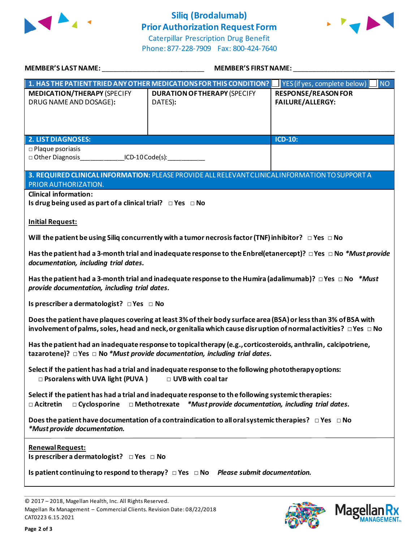

# **Siliq (Brodalumab) Prior Authorization Request Form**



Caterpillar Prescription Drug Benefit Phone: 877-228-7909 Fax: 800-424-7640

| MEMBER'S LAST NAME:                                                                                                                                                                                                                           | <b>MEMBER'S FIRST NAME:</b>                                                                                    |                                                       |  |  |
|-----------------------------------------------------------------------------------------------------------------------------------------------------------------------------------------------------------------------------------------------|----------------------------------------------------------------------------------------------------------------|-------------------------------------------------------|--|--|
|                                                                                                                                                                                                                                               | 1. HAS THE PATIENT TRIED ANY OTHER MEDICATIONS FOR THIS CONDITION?   YES (if yes, complete below)              | <b>NO</b>                                             |  |  |
| <b>MEDICATION/THERAPY (SPECIFY</b><br>DRUG NAME AND DOSAGE):                                                                                                                                                                                  | <b>DURATION OF THERAPY (SPECIFY</b><br>DATES):                                                                 | <b>RESPONSE/REASON FOR</b><br><b>FAILURE/ALLERGY:</b> |  |  |
| <b>2. LIST DIAGNOSES:</b>                                                                                                                                                                                                                     |                                                                                                                | <b>ICD-10:</b>                                        |  |  |
| $\square$ Plaque psoriasis<br>Other Diagnosis                                                                                                                                                                                                 | $ICD-10 Code(s):$                                                                                              |                                                       |  |  |
| PRIOR AUTHORIZATION.                                                                                                                                                                                                                          | 3. REQUIRED CLINICAL INFORMATION: PLEASE PROVIDE ALL RELEVANT CLINICAL INFORMATION TO SUPPORT A                |                                                       |  |  |
| <b>Clinical information:</b><br>Is drug being used as part of a clinical trial? $\Box$ Yes $\Box$ No                                                                                                                                          |                                                                                                                |                                                       |  |  |
| <b>Initial Request:</b>                                                                                                                                                                                                                       |                                                                                                                |                                                       |  |  |
| Will the patient be using Siliq concurrently with a tumor necrosis factor (TNF) inhibitor? $\Box$ Yes $\Box$ No                                                                                                                               |                                                                                                                |                                                       |  |  |
| Has the patient had a 3-month trial and inadequate response to the Enbrel(etanercept)? $\Box$ Yes $\Box$ No *Must provide<br>documentation, including trial dates.                                                                            |                                                                                                                |                                                       |  |  |
| Has the patient had a 3-month trial and inadequate response to the Humira (adalimumab)? $\Box$ Yes $\Box$ No $*$ Must<br>provide documentation, including trial dates.                                                                        |                                                                                                                |                                                       |  |  |
| Is prescriber a dermatologist? $\Box$ Yes $\Box$ No                                                                                                                                                                                           |                                                                                                                |                                                       |  |  |
| Does the patient have plaques covering at least 3% of their body surface area (BSA) or less than 3% of BSA with<br>involvement of palms, soles, head and neck, or genitalia which cause disruption of normal activities? $\Box$ Yes $\Box$ No |                                                                                                                |                                                       |  |  |
| Has the patient had an inadequate response to topical therapy (e.g., corticosteroids, anthralin, calcipotriene,<br>tazarotene)? $\Box$ Yes $\Box$ No *Must provide documentation, including trial dates.                                      |                                                                                                                |                                                       |  |  |
| Select if the patient has had a trial and inadequate response to the following phototherapy options:<br>□ Psoralens with UVA light (PUVA)<br>□ UVB with coal tar                                                                              |                                                                                                                |                                                       |  |  |
| Select if the patient has had a trial and inadequate response to the following systemic therapies:<br>$\Box$ Methotrexate *Must provide documentation, including trial dates.<br>$\square$ Acitretin<br>□ Cyclosporine                        |                                                                                                                |                                                       |  |  |
| *Must provide documentation.                                                                                                                                                                                                                  | Does the patient have documentation of a contraindication to all oral systemic therapies? $\Box$ Yes $\Box$ No |                                                       |  |  |
| <b>Renewal Request:</b><br>Is prescriber a dermatologist? DYes DNo                                                                                                                                                                            |                                                                                                                |                                                       |  |  |
|                                                                                                                                                                                                                                               | Is patient continuing to respond to therapy? $\Box$ Yes $\Box$ No Please submit documentation.                 |                                                       |  |  |